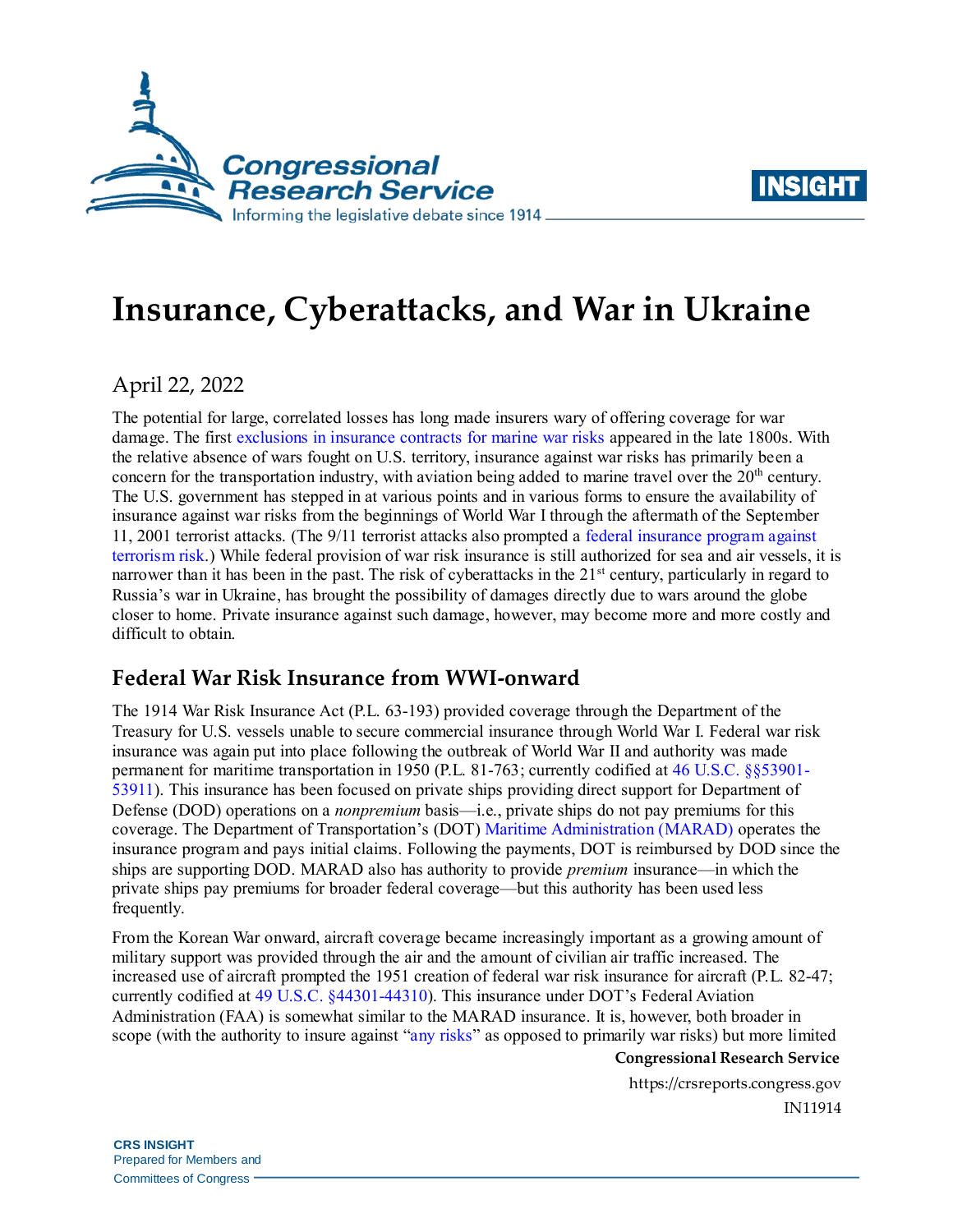



# **Insurance, Cyberattacks, and War in Ukraine**

April 22, 2022

The potential for large, correlated losses has long made insurers wary of offering coverage for war damage. The first [exclusions in insurance contracts for marine war risks](https://halshs.archives-ouvertes.fr/halshs-03290863/document) appeared in the late 1800s. With the relative absence of wars fought on U.S. territory, insurance against war risks has primarily been a concern for the transportation industry, with aviation being added to marine travel over the  $20<sup>th</sup>$  century. The U.S. government has stepped in at various points and in various forms to ensure the availability of insurance against war risks from the beginnings of World War I through the aftermath of the September 11, 2001 terrorist attacks. (The 9/11 terrorist attacks also prompted [a federal insurance program against](https://crsreports.congress.gov/product/pdf/R/R47042)  [terrorism risk.](https://crsreports.congress.gov/product/pdf/R/R47042)) While federal provision of war risk insurance is still authorized for sea and air vessels, it is narrower than it has been in the past. The risk of cyberattacks in the 21<sup>st</sup> century, particularly in regard to Russia's war in Ukraine, has brought the possibility of damages directly due to wars around the globe closer to home. Private insurance against such damage, however, may become more and more costly and difficult to obtain.

# **Federal War Risk Insurance from WWI-onward**

The 1914 War Risk Insurance Act (P.L. 63-193) provided coverage through the Department of the Treasury for U.S. vessels unable to secure commercial insurance through World War I. Federal war risk insurance was again put into place following the outbreak of World War II and authority was made permanent for maritime transportation in 1950 (P.L. 81-763; currently codified a[t 46 U.S.C. §§53901-](https://uscode.house.gov/view.xhtml?path=/prelim@title46/subtitle5/partC/chapter539&edition=prelim) [53911\)](https://uscode.house.gov/view.xhtml?path=/prelim@title46/subtitle5/partC/chapter539&edition=prelim). This insurance has been focused on private ships providing direct support for Department of Defense (DOD) operations on a *nonpremium* basis—i.e., private ships do not pay premiums for this coverage. The Department of Transportation's (DOT) [Maritime Administration \(MARAD\)](https://www.maritime.dot.gov/) operates the insurance program and pays initial claims. Following the payments, DOT is reimbursed by DOD since the ships are supporting DOD. MARAD also has authority to provide *premium* insurance—in which the private ships pay premiums for broader federal coverage—but this authority has been used less frequently.

From the Korean War onward, aircraft coverage became increasingly important as a growing amount of military support was provided through the air and the amount of civilian air traffic increased. The increased use of aircraft prompted the 1951 creation of federal war risk insurance for aircraft (P.L. 82-47; currently codified at 49 U.S.C. [§44301-44310\)](https://uscode.house.gov/view.xhtml?path=/prelim@title49/subtitle7/partA/subpart3/chapter443&edition=prelim). This insurance under DOT's Federal Aviation Administration (FAA) is somewhat similar to the MARAD insurance. It is, however, both broader in scope (with the authority to insure against ["any risks"](https://uscode.house.gov/view.xhtml?hl=false&edition=prelim&path=%2Fprelim%40title49%2Fsubtitle7%2FpartA%2Fsubpart3%2Fchapter443&req=granuleid%3AUSC-prelim-title49-section44302&num=0&saved=L3ByZWxpbUB0aXRsZTQ5L3N1YnRpdGxlNy9wYXJ0QS9zdWJwYXJ0My9jaGFwdGVyNDQz%7CZ3JhbnVsZWlkOlVTQy1wcmVsaW0tdGl0bGU0OS1jaGFwdGVyNDQz%7C%7C%7C0%7Cfalse%7Cprelim) as opposed to primarily war risks) but more limited

**Congressional Research Service**

https://crsreports.congress.gov IN11914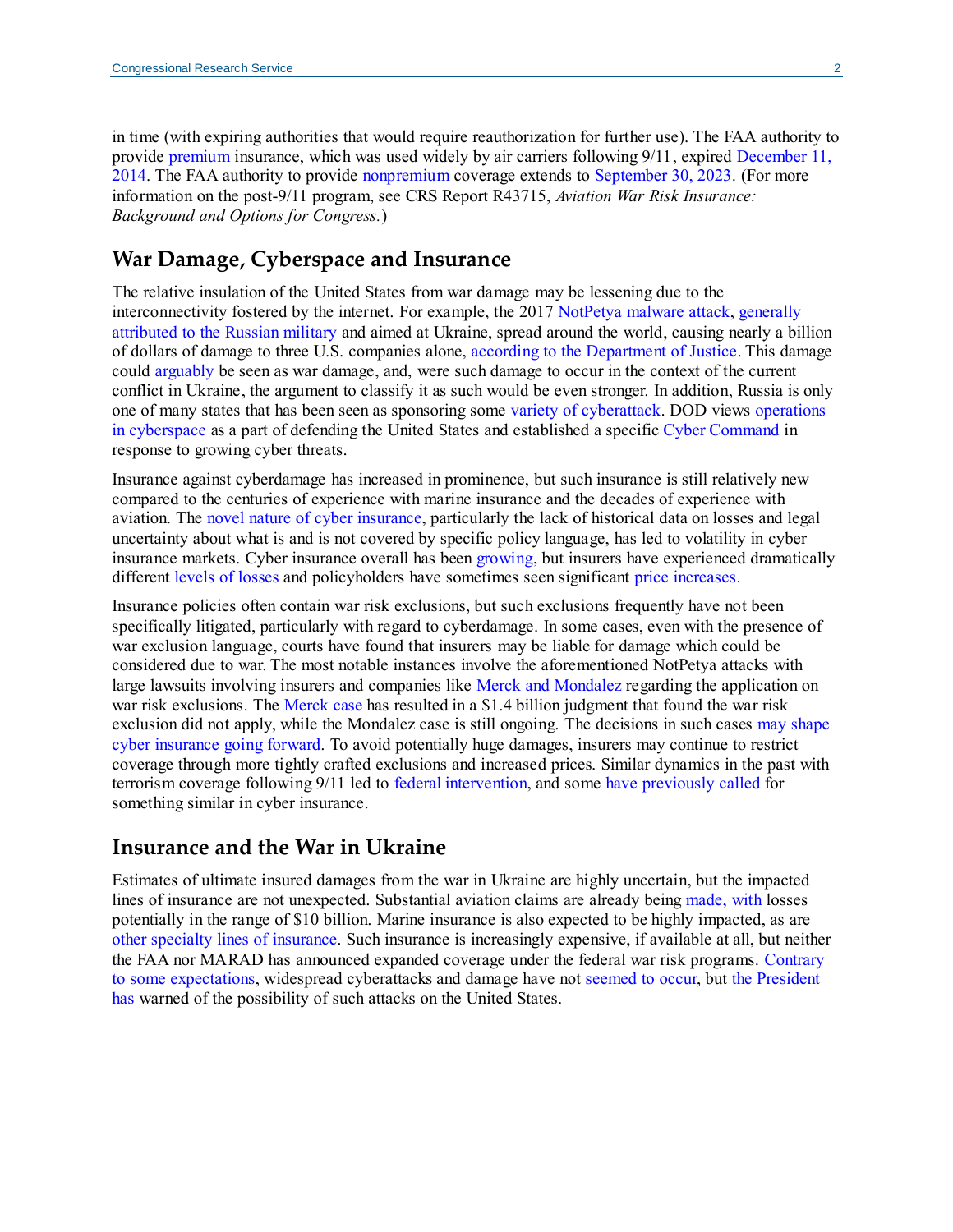in time (with expiring authorities that would require reauthorization for further use). The FAA authority to provide [premium i](https://www.faa.gov/about/office_org/headquarters_offices/ash/ash_programs/aviation_insurance#Premium%20war%20risk%20insurance)nsurance, which was used widely by air carriers following 9/11, expired December 11, [2014.](https://uscode.house.gov/view.xhtml?hl=false&edition=prelim&path=%2Fprelim%40title49%2Fsubtitle7%2FpartA%2Fsubpart3%2Fchapter443&req=granuleid%3AUSC-prelim-title49-section44310&num=0&saved=L3ByZWxpbUB0aXRsZTQ5L3N1YnRpdGxlNy9wYXJ0QS9zdWJwYXJ0My9jaGFwdGVyNDQz%7CZ3JhbnVsZWlkOlVTQy1wcmVsaW0tdGl0bGU0OS1jaGFwdGVyNDQz%7C%7C%7C0%7Cfalse%7Cprelim) The FAA authority to provide [nonpremium](https://www.faa.gov/about/office_org/headquarters_offices/ash/ash_programs/aviation_insurance#Non-premium%20War%20Risk%20Insurance) coverage extends t[o September 30, 2023.](https://uscode.house.gov/view.xhtml?hl=false&edition=prelim&path=%2Fprelim%40title49%2Fsubtitle7%2FpartA%2Fsubpart3%2Fchapter443&req=granuleid%3AUSC-prelim-title49-section44310&num=0&saved=L3ByZWxpbUB0aXRsZTQ5L3N1YnRpdGxlNy9wYXJ0QS9zdWJwYXJ0My9jaGFwdGVyNDQz%7CZ3JhbnVsZWlkOlVTQy1wcmVsaW0tdGl0bGU0OS1jaGFwdGVyNDQz%7C%7C%7C0%7Cfalse%7Cprelim) (For more information on the post-9/11 program, see CRS Report R43715, *[Aviation War Risk Insurance:](https://crsreports.congress.gov/product/pdf/R/R43715)  [Background and Options for Congress.](https://crsreports.congress.gov/product/pdf/R/R43715)*)

#### **War Damage, Cyberspace and Insurance**

The relative insulation of the United States from war damage may be lessening due to the interconnectivity fostered by the internet. For example, the 2017 [NotPetya malware attack,](https://www.wired.com/story/notpetya-cyberattack-ukraine-russia-code-crashed-the-world/) [generally](https://www.zdnet.com/article/blaming-russia-for-notpetya-was-coordinated-diplomatic-action/)  attributed [to the Russian military](https://www.zdnet.com/article/blaming-russia-for-notpetya-was-coordinated-diplomatic-action/) and aimed at Ukraine, spread around the world, causing nearly a billion of dollars of damage to three U.S. companies alone, [according to the Department of Justice.](https://www.justice.gov/opa/pr/six-russian-gru-officers-charged-connection-worldwide-deployment-destructive-malware-and) This damage could [arguably](https://ccdcoe.org/news/2017/notpetya-and-wannacry-call-for-a-joint-response-from-international-community/) be seen as war damage, and, were such damage to occur in the context of the current conflict in Ukraine, the argument to classify it as such would be even stronger. In addition, Russia is only one of many states that has been seen as sponsoring some [variety of cyberattack.](https://crsreports.congress.gov/product/pdf/R/R46974) DOD views [operations](https://crsreports.congress.gov/product/pdf/IF/IF10537)  [in cyberspace](https://crsreports.congress.gov/product/pdf/IF/IF10537) as a part of defending the United States and established a specifi[c Cyber Command](https://www.cybercom.mil/) in response to growing cyber threats.

Insurance against cyberdamage has increased in prominence, but such insurance is still relatively new compared to the centuries of experience with marine insurance and the decades of experience with aviation. The [novel nature of cyber insurance,](https://www.lawfareblog.com/moment-truth-cyber-insurance) particularly the lack of historical data on losses and legal uncertainty about what is and is not covered by specific policy language, has led to volatility in cyber insurance markets. Cyber insurance overall has been [growing,](https://content.naic.org/article/naic-report-show-2020-premiums-grew-291-cyberthreats-rise) but insurers have experienced dramatically different [levels of losses](https://content.naic.org/sites/default/files/index-cmte-c-Cyber_Supplement_2020_Report.pdf#page=3) and policyholders have sometimes seen significant [price increases.](https://www.marsh.com/us/services/cyber-risk/insights/cyber-insurance-market-overview-q4-2021.html)

Insurance policies often contain war risk exclusions, but such exclusions frequently have not been specifically litigated, particularly with regard to cyberdamage. In some cases, even with the presence of war exclusion language, courts have found that insurers may be liable for damage which could be considered due to war. The most notable instances involve the aforementioned NotPetya attacks with large lawsuits involving insurers and companies lik[e Merck and Mondalez](https://www.nytimes.com/2019/04/15/technology/cyberinsurance-notpetya-attack.html) regarding the application on war risk exclusions. The [Merck case](https://news.bloomberglaw.com/privacy-and-data-security/mercks-1-4-billion-insurance-win-splits-cyber-from-act-of-war) has resulted in a \$1.4 billion judgment that found the war risk exclusion did not apply, while the Mondalez case is still ongoing. The decisions in such cases may [shape](https://www.lawfareblog.com/what-mondelez-v-zurich-may-reveal-about-cyber-insurance-age-digital-conflict)  [cyber insurance](https://www.lawfareblog.com/what-mondelez-v-zurich-may-reveal-about-cyber-insurance-age-digital-conflict) going forward. To avoid potentially huge damages, insurers may continue to restrict coverage through more tightly crafted exclusions and increased prices. Similar dynamics in the past with terrorism coverage following 9/11 led t[o federal intervention,](https://home.treasury.gov/policy-issues/financial-markets-financial-institutions-and-fiscal-service/federal-insurance-office/terrorism-risk-insurance-program) and some [have previously called](https://www.cfr.org/blog/new-cyber-brief-creating-federally-sponsored-cyber-insurance-program) for something similar in cyber insurance.

#### **Insurance and the War in Ukraine**

Estimates of ultimate insured damages from the war in Ukraine are highly uncertain, but the impacted lines of insurance are not unexpected. Substantial aviation claims are already bein[g made,](https://www.insurancejournal.com/news/international/2022/03/24/659484.htm) with losses potentially in the range of \$10 billion. Marine insurance is also expected to be highly impacted, as are [other specialty lines of insurance.](https://www.spglobal.com/ratings/en/research/articles/220331-russia-ukraine-conflict-adds-to-a-bumpy-start-to-2022-for-global-reinsurers-12329001) Such insurance is increasingly expensive, if available at all, but neither the FAA nor MARAD has announced expanded coverage under the federal war risk programs. [Contrary](https://www.nytimes.com/2021/12/20/us/politics/russia-ukraine-cyberattacks.html)  [to some expectations,](https://www.nytimes.com/2021/12/20/us/politics/russia-ukraine-cyberattacks.html) widespread cyberattacks and damage have not [seemed to occur,](https://www.nature.com/articles/d41586-022-00753-9) but [the President](https://www.cbsnews.com/news/russia-cyber-attack-threat-biden-warning/)  [has](https://www.cbsnews.com/news/russia-cyber-attack-threat-biden-warning/) warned of the possibility of such attacks on the United States.